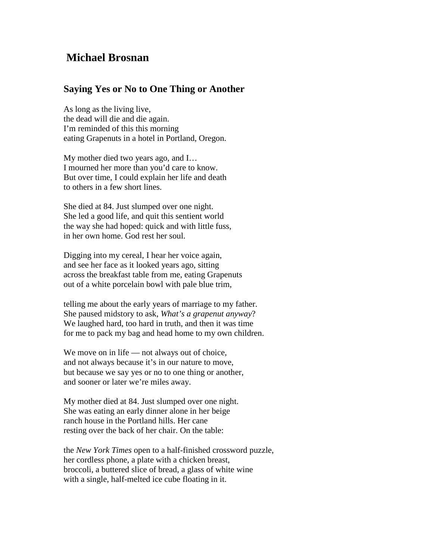## **Michael Brosnan**

## **Saying Yes or No to One Thing or Another**

As long as the living live, the dead will die and die again. I'm reminded of this this morning eating Grapenuts in a hotel in Portland, Oregon.

My mother died two years ago, and I… I mourned her more than you'd care to know. But over time, I could explain her life and death to others in a few short lines.

She died at 84. Just slumped over one night. She led a good life, and quit this sentient world the way she had hoped: quick and with little fuss, in her own home. God rest her soul.

Digging into my cereal, I hear her voice again, and see her face as it looked years ago, sitting across the breakfast table from me, eating Grapenuts out of a white porcelain bowl with pale blue trim,

telling me about the early years of marriage to my father. She paused midstory to ask, *What's a grapenut anyway*? We laughed hard, too hard in truth, and then it was time for me to pack my bag and head home to my own children.

We move on in life — not always out of choice, and not always because it's in our nature to move, but because we say yes or no to one thing or another, and sooner or later we're miles away.

My mother died at 84. Just slumped over one night. She was eating an early dinner alone in her beige ranch house in the Portland hills. Her cane resting over the back of her chair. On the table:

the *New York Times* open to a half-finished crossword puzzle, her cordless phone, a plate with a chicken breast, broccoli, a buttered slice of bread, a glass of white wine with a single, half-melted ice cube floating in it.